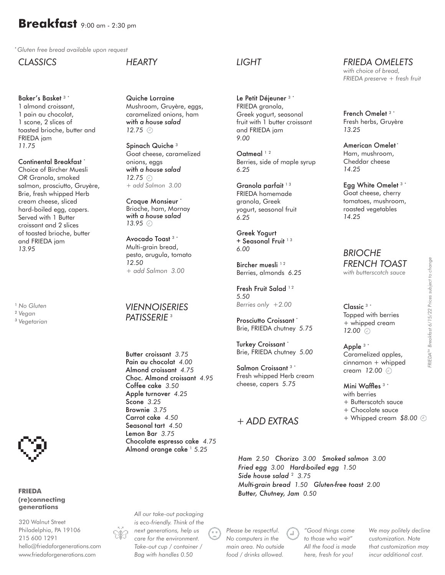# **Breakfast** 9:00 am - 2:30 pm

\* *Gluten free bread available upon request*

*CLASSICS*

#### Baker's Basket 3 \*

1 almond croissant, 1 pain au chocolat, 1 scone, 2 slices of toasted brioche, butter and FRIEDA jam *11.75*

## Continental Breakfast \*

Choice of Bircher Muesli *OR* Granola, smoked salmon, prosciutto, Gruyère, Brie, fresh whipped Herb cream cheese, sliced hard-boiled egg, capers. Served with 1 Butter croissant and 2 slices of toasted brioche, butter and FRIEDA jam *13.95*

<sup>1</sup> *No Gluten*

<sup>2</sup> *Vegan*

<sup>3</sup> *Vegetarian*



#### **FRIEDA (re)connecting generations**

320 Walnut Street Philadelphia, PA 19106 215 600 1291 hello@friedaforgenerations.com www.friedaforgenerations.com

#### *HEARTY*

Quiche Lorraine Mushroom, Gruyère, eggs, caramelized onions, ham *with a house salad 12.75*

Spinach Quiche <sup>3</sup> Goat cheese, caramelized onions, eggs *with a house salad 12.75 + add Salmon 3.00*

Croque Monsieur \* Brioche, ham, Mornay *with a house salad 13.95*

Avocado Toast 3 \* Multi-grain bread, pesto, arugula, tomato *12.50 + add Salmon 3.00*

### *VIENNOISERIES PATISSERIE* <sup>3</sup>

Butter croissant *3.75* Pain au chocolat *4.00*  Almond croissant *4.75*  Choc. Almond croissant *4.95*  Coffee cake *3.50*  Apple turnover *4.25* Scone *3.25*  Brownie *3.75*  Carrot cake *4.50*  Seasonal tart *4.50*  Lemon Bar *3.75*  Chocolate espresso cake *4.75*  Almond orange cake <sup>1</sup> 5.25

*All our take-out packaging is eco-friendly. Think of the next generations, help us care for the environment. Take-out cup / container / Bag with handles 0.50*

#### *LIGHT*

Le Petit Déjeuner<sup>3</sup> FRIEDA granola, Greek yogurt, seasonal fruit with 1 butter croissant and FRIEDA jam *9.00* 

Oatmeal<sup>12</sup> Berries, side of maple syrup *6.25*

Granola parfait<sup>13</sup> FRIEDA homemade granola, Greek yogurt, seasonal fruit *6.25*

Greek Yogurt + Seasonal Fruit<sup>13</sup> *6.00*

Bircher muesli<sup>12</sup> Berries, almonds *6.25*

Fresh Fruit Salad<sup>12</sup> *5.50 Berries only +2.00* 

Prosciutto Croissant \* Brie, FRIEDA chutney *5.75*

Turkey Croissant \* Brie, FRIEDA chutney *5.00*

Salmon Croissant<sup>3</sup> Fresh whipped Herb cream cheese, capers *5.75*

#### *+ ADD EXTRAS*

*Ham 2.50 Chorizo 3.00 Smoked salmon 3.00 Fried egg 3.00 Hard-boiled egg 1.50 Side house salad*<sup>2</sup> 3.75 *Multi-grain bread 1.50 Gluten-free toast 2.00 Butter, Chutney, Jam 0.50*

*Please be respectful. No computers in the main area. No outside food / drinks allowed.*

*"Good things come to those who wait" All the food is made here, fresh for you!*

*We may politely decline customization. Note that customization may incur additional cost.*

Topped with berries + whipped cream

Apple 3 \* Caramelized apples, cinnamon + whipped cream *12.00*

*FRIEDA OMELETS with choice of bread, FRIEDA preserve + fresh fruit*

French Omelet <sup>3</sup> \* Fresh herbs, Gruyère

American Omelet<sup>\*</sup> Ham, mushroom, Cheddar cheese

Egg White Omelet <sup>3</sup> \* Goat cheese, cherry tomatoes, mushroom, roasted vegetables

*13.25*

*14.25*

*14.25*

*BRIOCHE*

Classic 3 \*

*12.00*

Mini Waffles 3 \* with berries + Butterscotch sauce + Chocolate sauce + Whipped cream *\$8.00*

*FRIEDATM Breakfast 6/15/22 Prices subject to change*

FRIEDA<sup>TM</sup> Breakfast 6/15/22 Prices subject to change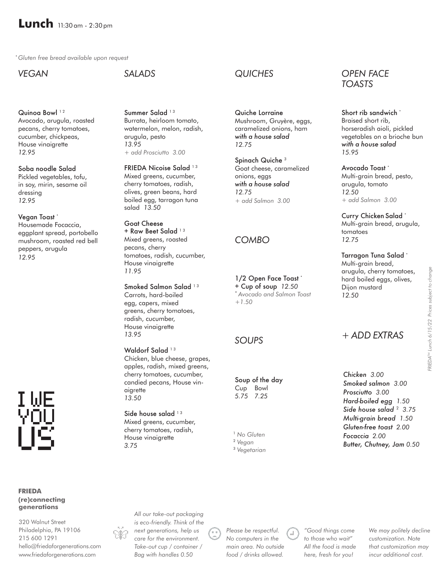\* *Gluten free bread available upon request*

*VEGAN* 

Quinoa Bowl<sup>12</sup> Avocado, arugula, roasted pecans, cherry tomatoes, cucumber, chickpeas, House vinaigrette *12.95*

Soba noodle Salad Pickled vegetables, tofu, in soy, mirin, sesame oil dressing *12.95*

Vegan Toast<sup>\*</sup> Housemade Focaccia, eggplant spread, portobello mushroom, roasted red bell peppers, arugula *12.95*



#### **FRIEDA (re)connecting generations**

320 Walnut Street Philadelphia, PA 19106 215 600 1291 hello@friedaforgenerations.com www.friedaforgenerations.com

## *SALADS*

Summer Salad<sup>13</sup> Burrata, heirloom tomato, watermelon, melon, radish, arugula, pesto *13.95 + add Prosciutto 3.00*

FRIEDA Nicoise Salad<sup>13</sup> Mixed greens, cucumber, cherry tomatoes, radish, olives, green beans, hard boiled egg, tarragon tuna salad *13.50*

Goat Cheese + Raw Beet Salad<sup>13</sup> Mixed greens, roasted pecans, cherry tomatoes, radish, cucumber, House vinaigrette *11.95*

Smoked Salmon Salad<sup>13</sup> Carrots, hard-boiled egg, capers, mixed greens, cherry tomatoes, radish, cucumber, House vinaigrette *13.95*

Waldorf Salad<sup>13</sup> Chicken, blue cheese, grapes, apples, radish, mixed greens, cherry tomatoes, cucumber, candied pecans, House vinaigrette *13.50*

Side house salad  $13$ Mixed greens, cucumber, cherry tomatoes, radish, House vinaigrette *3.75*

*All our take-out packaging* 

*Bag with handles 0.50*

## *QUICHES*

Quiche Lorraine Mushroom, Gruyère, eggs, caramelized onions, ham *with a house salad 12.75*

Spinach Quiche<sup>3</sup> Goat cheese, caramelized onions, eggs *with a house salad 12.75 + add Salmon 3.00*

## *COMBO*

1/2 Open Face Toast \* + Cup of soup *12.50* \* *Avocado and Salmon Toast +1.50*

#### *SOUPS*

Soup of the day Cup Bowl *5.75 7.25*

<sup>1</sup> *No Gluten*

<sup>2</sup> *Vegan*

<sup>3</sup> *Vegetarian*

#### *OPEN FACE TOASTS*

Short rib sandwich \* Braised short rib, horseradish aioli, pickled vegetables on a brioche bun *with a house salad 15.95*

Avocado Toast \* Multi-grain bread, pesto, arugula, tomato *12.50 + add Salmon 3.00*

Curry Chicken Salad \* Multi-grain bread, arugula, tomatoes *12.75*

Tarragon Tuna Salad \* Multi-grain bread, arugula, cherry tomatoes, hard boiled eggs, olives, Dijon mustard *12.50*

*+ ADD EXTRAS*

*Chicken 3.00 Smoked salmon 3.00 Prosciutto 3.00 Hard-boiled egg 1.50 Side house salad*<sup>2</sup> *3.75 Multi-grain bread 1.50 Gluten-free toast 2.00 Focaccia 2.00 Butter, Chutney, Jam 0.50*

*is eco-friendly. Think of the next generations, help us care for the environment. Take-out cup / container /* 

*Please be respectful. No computers in the main area. No outside food / drinks allowed.*

*"Good things come to those who wait" All the food is made here, fresh for you!*

*We may politely decline customization. Note that customization may incur additional cost.*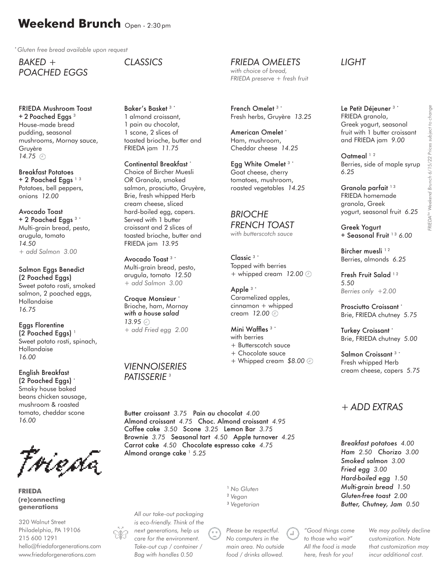# **Weekend Brunch** Open - 2:30 pm

\* *Gluten free bread available upon request*

*BAKED + POACHED EGGS*

FRIEDA Mushroom Toast  $+ 2$  Poached Eggs  $3$ House-made bread pudding, seasonal mushrooms, Mornay sauce, Gruyère *14.75*

Breakfast Potatoes + 2 Poached Eggs<sup>13</sup> Potatoes, bell peppers, onions *12.00*

Avocado Toast + 2 Poached Eggs 3 \* Multi-grain bread, pesto, arugula, tomato *14.50 + add Salmon 3.00* 

Salmon Eggs Benedict (2 Poached Eggs) Sweet potato rosti, smoked salmon, 2 poached eggs, Hollandaise *16.75*

Eggs Florentine  $(2$  Poached Eggs)<sup> $1$ </sup> Sweet potato rosti, spinach, Hollandaise *16.00*

English Breakfast (2 Poached Eggs) \* Smoky house baked beans chicken sausage, mushroom & roasted tomato, cheddar scone *16.00*

Føieøa

**FRIEDA (re)connecting generations**

320 Walnut Street Philadelphia, PA 19106 215 600 1291 hello@friedaforgenerations.com www.friedaforgenerations.com

*CLASSICS*

Baker's Basket 3 \* 1 almond croissant, 1 pain au chocolat, 1 scone, 2 slices of toasted brioche, butter and FRIEDA jam *11.75*

Continental Breakfast \* Choice of Bircher Muesli *OR* Granola, smoked salmon, prosciutto, Gruyère, Brie, fresh whipped Herb cream cheese, sliced hard-boiled egg, capers. Served with 1 butter croissant and 2 slices of toasted brioche, butter and FRIEDA jam *13.95* 

Avocado Toast 3 \* Multi-grain bread, pesto, arugula, tomato *12.50 + add Salmon 3.00*

Croque Monsieur \* Brioche, ham, Mornay *with a house salad 13.95 + add Fried egg 2.00*

#### *VIENNOISERIES PATISSERIE* <sup>3</sup>

Butter croissant *3.75* Pain au chocolat *4.00*  Almond croissant *4.75* Choc. Almond croissant *4.95*  Coffee cake *3.50* Scone *3.25* Lemon Bar *3.75*  Brownie *3.75* Seasonal tart *4.50* Apple turnover *4.25* Carrot cake *4.50* Chocolate espresso cake *4.75*  Almond orange cake<sup>1</sup> 5.25

*All our take-out packaging is eco-friendly. Think of the next generations, help us care for the environment. Take-out cup / container / Bag with handles 0.50*

*Please be respectful. No computers in the main area. No outside food / drinks allowed.*

<sup>1</sup> *No Gluten* <sup>2</sup> *Vegan* <sup>3</sup> *Vegetarian* *LIGHT*

*FRIEDA OMELETS with choice of bread, FRIEDA preserve + fresh fruit*

French Omelet 3 \*

American Omelet<sup>\*</sup> Ham, mushroom, Cheddar cheese *14.25*

Egg White Omelet 3 \* Goat cheese, cherry tomatoes, mushroom, roasted vegetables *14.25*

*FRENCH TOAST with butterscotch sauce*

Topped with berries + whipped cream *12.00*

Caramelized apples, cinnamon + whipped cream *12.00*

+ Butterscotch sauce + Chocolate sauce

+ Whipped cream *\$8.00*

Mini Waffles 3 \* with berries

*BRIOCHE*

Classic 3 \*

Apple 3 \*

Fresh herbs, Gruyère *13.25*

Le Petit Déjeuner 3 \* FRIEDA granola, Greek yogurt, seasonal fruit with 1 butter croissant and FRIEDA jam *9.00* 

Oatmeal<sup>12</sup> Berries, side of maple syrup *6.25*

Granola parfait<sup>13</sup> FRIEDA homemade granola, Greek yogurt, seasonal fruit *6.25*

Greek Yogurt + Seasonal Fruit 1 3 *6.00*

Bircher muesli<sup>12</sup> Berries, almonds *6.25*

Fresh Fruit Salad<sup>12</sup> *5.50 Berries only +2.00* 

Prosciutto Croissant \* Brie, FRIEDA chutney *5.75*

Turkey Croissant \* Brie, FRIEDA chutney *5.00*

Salmon Croissant 3 \* Fresh whipped Herb cream cheese, capers *5.75*

#### *+ ADD EXTRAS*

*Breakfast potatoes 4.00 Ham 2.50 Chorizo 3.00 Smoked salmon 3.00 Fried egg 3.00 Hard-boiled egg 1.50 Multi-grain bread 1.50 Gluten-free toast 2.00 Butter, Chutney, Jam 0.50*

*"Good things come to those who wait" All the food is made here, fresh for you!*

*We may politely decline customization. Note that customization may incur additional cost.*

*FRIEDATM Weekend Brunch 6/15/22 Prices subject to change*

FRIEDA<sup>TM</sup> Weekend Brunch 6/15/22 Prices subject to change